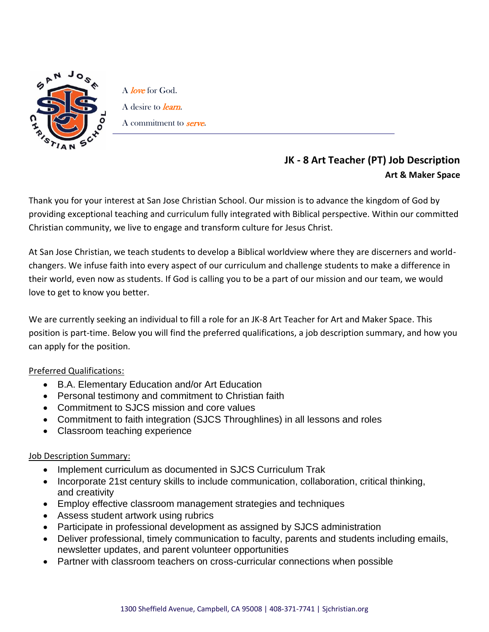

A *love* for God. A desire to *learn*. A commitment to **serve**.

## **JK - 8 Art Teacher (PT) Job Description Art & Maker Space**

Thank you for your interest at San Jose Christian School. Our mission is to advance the kingdom of God by providing exceptional teaching and curriculum fully integrated with Biblical perspective. Within our committed Christian community, we live to engage and transform culture for Jesus Christ.

At San Jose Christian, we teach students to develop a Biblical worldview where they are discerners and worldchangers. We infuse faith into every aspect of our curriculum and challenge students to make a difference in their world, even now as students. If God is calling you to be a part of our mission and our team, we would love to get to know you better.

We are currently seeking an individual to fill a role for an JK-8 Art Teacher for Art and Maker Space. This position is part-time. Below you will find the preferred qualifications, a job description summary, and how you can apply for the position.

## Preferred Qualifications:

- B.A. Elementary Education and/or Art Education
- Personal testimony and commitment to Christian faith
- Commitment to SJCS mission and core values
- Commitment to faith integration (SJCS Throughlines) in all lessons and roles
- Classroom teaching experience

## Job Description Summary:

- Implement curriculum as documented in SJCS Curriculum Trak
- Incorporate 21st century skills to include communication, collaboration, critical thinking, and creativity
- Employ effective classroom management strategies and techniques
- Assess student artwork using rubrics
- Participate in professional development as assigned by SJCS administration
- Deliver professional, timely communication to faculty, parents and students including emails, newsletter updates, and parent volunteer opportunities
- Partner with classroom teachers on cross-curricular connections when possible